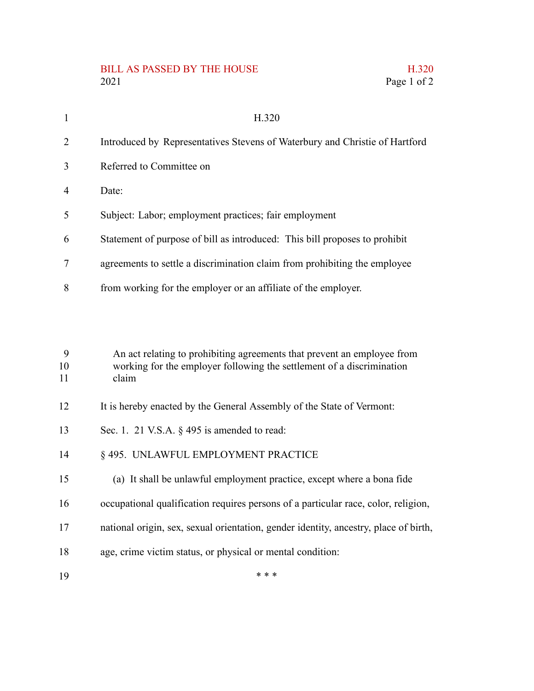## BILL AS PASSED BY THE HOUSE 2021 Page 1 of 2

|             | H.320 |
|-------------|-------|
| Page 1 of 2 |       |

| -1             | H.320                                                                       |
|----------------|-----------------------------------------------------------------------------|
| 2              | Introduced by Representatives Stevens of Waterbury and Christie of Hartford |
| 3              | Referred to Committee on                                                    |
| $\overline{4}$ | Date:                                                                       |
| 5              | Subject: Labor; employment practices; fair employment                       |
| 6              | Statement of purpose of bill as introduced: This bill proposes to prohibit  |
| 7              | agreements to settle a discrimination claim from prohibiting the employee   |
| 8              | from working for the employer or an affiliate of the employer.              |

An act relating to prohibiting agreements that prevent an employee from working for the employer following the settlement of a discrimination claim 9 10 11

- It is hereby enacted by the General Assembly of the State of Vermont: 12
- Sec. 1. 21 V.S.A. § 495 is amended to read: 13
- § 495. UNLAWFUL EMPLOYMENT PRACTICE 14
- (a) It shall be unlawful employment practice, except where a bona fide 15
- occupational qualification requires persons of a particular race, color, religion, 16
- national origin, sex, sexual orientation, gender identity, ancestry, place of birth, 17

\* \* \*

- age, crime victim status, or physical or mental condition: 18
- 19